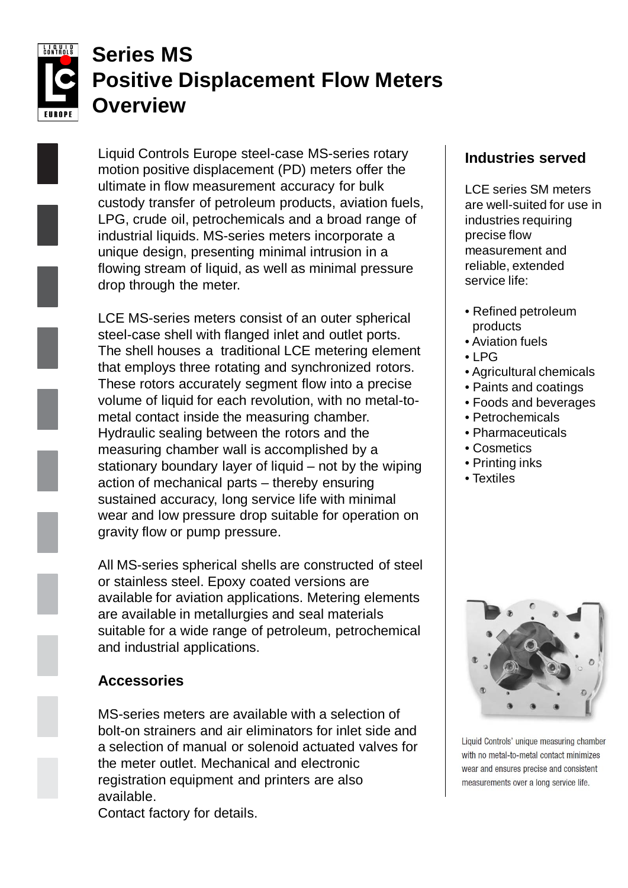

# **Series MS Positive Displacement Flow Meters Overview**

Liquid Controls Europe steel-case MS-series rotary motion positive displacement (PD) meters offer the ultimate in flow measurement accuracy for bulk custody transfer of petroleum products, aviation fuels, LPG, crude oil, petrochemicals and a broad range of industrial liquids. MS-series meters incorporate a unique design, presenting minimal intrusion in a flowing stream of liquid, as well as minimal pressure drop through the meter.

LCE MS-series meters consist of an outer spherical steel-case shell with flanged inlet and outlet ports. The shell houses a traditional LCE metering element that employs three rotating and synchronized rotors. These rotors accurately segment flow into a precise volume of liquid for each revolution, with no metal-tometal contact inside the measuring chamber. Hydraulic sealing between the rotors and the measuring chamber wall is accomplished by a stationary boundary layer of liquid – not by the wiping action of mechanical parts – thereby ensuring sustained accuracy, long service life with minimal wear and low pressure drop suitable for operation on gravity flow or pump pressure.

All MS-series spherical shells are constructed of steel or stainless steel. Epoxy coated versions are available for aviation applications. Metering elements are available in metallurgies and seal materials suitable for a wide range of petroleum, petrochemical and industrial applications.

# **Accessories**

MS-series meters are available with a selection of bolt-on strainers and air eliminators for inlet side and a selection of manual or solenoid actuated valves for the meter outlet. Mechanical and electronic registration equipment and printers are also available.

Contact factory for details.

# **Industries served**

LCE series SM meters are well-suited for use in industries requiring precise flow measurement and reliable, extended service life:

- Refined petroleum products
- Aviation fuels
- $\bullet$  | PG
- Agricultural chemicals
- Paints and coatings
- Foods and beverages
- Petrochemicals
- Pharmaceuticals
- Cosmetics
- Printing inks
- Textiles



Liquid Controls' unique measuring chamber with no metal-to-metal contact minimizes wear and ensures precise and consistent measurements over a long service life.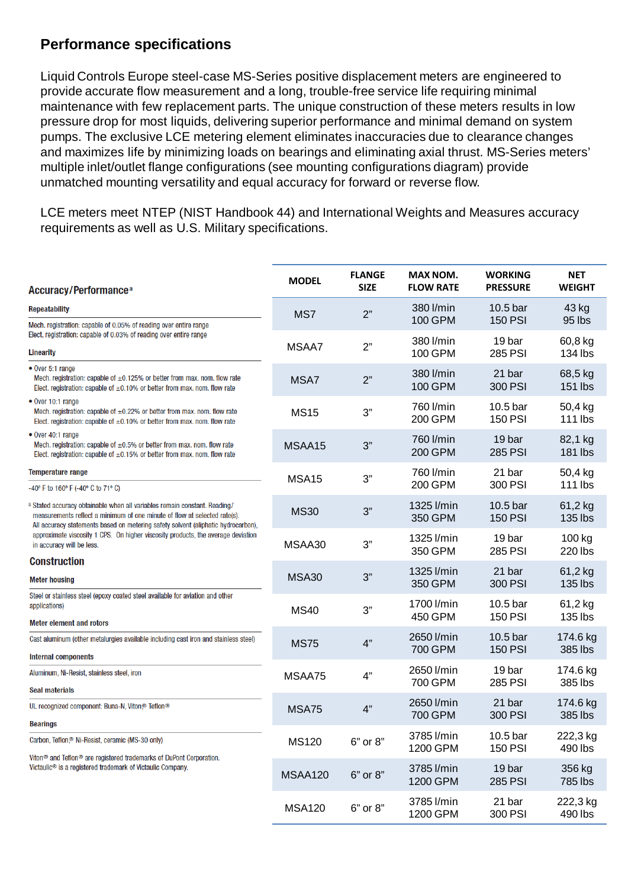#### **Performance specifications**

Liquid Controls Europe steel-case MS-Series positive displacement meters are engineered to provide accurate flow measurement and a long, trouble-free service life requiring minimal maintenance with few replacement parts. The unique construction of these meters results in low pressure drop for most liquids, delivering superior performance and minimal demand on system pumps. The exclusive LCE metering element eliminates inaccuracies due to clearance changes and maximizes life by minimizing loads on bearings and eliminating axial thrust. MS-Series meters' multiple inlet/outlet flange configurations (see mounting configurations diagram) provide unmatched mounting versatility and equal accuracy for forward or reverse flow.

LCE meters meet NTEP (NIST Handbook 44) and International Weights and Measures accuracy requirements as well as U.S. Military specifications.

| <b>Accuracy/Performance<sup>a</sup></b>                                                                                                                                                                                                     | <b>MODEL</b>  | <b>FLANGE</b><br><b>SIZE</b> | <b>MAX NOM.</b><br><b>FLOW RATE</b> | <b>WORKING</b><br><b>PRESSURE</b> | <b>NET</b><br><b>WEIGHT</b> |  |
|---------------------------------------------------------------------------------------------------------------------------------------------------------------------------------------------------------------------------------------------|---------------|------------------------------|-------------------------------------|-----------------------------------|-----------------------------|--|
| <b>Repeatability</b>                                                                                                                                                                                                                        | MS7           | 2"                           | 380 l/min                           | 10.5 bar                          | 43 kg                       |  |
| Mech. registration: capable of 0.05% of reading over entire range<br>Elect. registration: capable of 0.03% of reading over entire range                                                                                                     |               |                              | 100 GPM                             | <b>150 PSI</b>                    | 95 lbs                      |  |
| <b>Linearity</b>                                                                                                                                                                                                                            | MSAA7         | 2"                           | 380 l/min<br>100 GPM                | 19 bar<br><b>285 PSI</b>          | 60,8 kg<br>134 lbs          |  |
| $\bullet$ Over 5:1 range<br>Mech. registration: capable of $\pm 0.125\%$ or better from max. nom. flow rate<br>Elect. registration: capable of $\pm 0.10\%$ or better from max. nom. flow rate                                              | MSA7          | 2"                           | 380 l/min<br><b>100 GPM</b>         | 21 bar<br>300 PSI                 | 68,5 kg<br>151 lbs          |  |
| • Over 10:1 range<br>Mech. registration: capable of $\pm 0.22$ % or better from max. nom. flow rate<br>Elect. registration: capable of $\pm 0.10\%$ or better from max. nom. flow rate                                                      | <b>MS15</b>   | 3"                           | 760 l/min<br>200 GPM                | 10.5 bar<br><b>150 PSI</b>        | 50,4 kg<br>111 lbs          |  |
| • Over 40:1 range<br>Mech. registration: capable of $\pm 0.5\%$ or better from max. nom. flow rate<br>Elect. registration: capable of $\pm 0.15\%$ or better from max. nom. flow rate                                                       | MSAA15        | 3"                           | 760 l/min<br>200 GPM                | 19 bar<br><b>285 PSI</b>          | 82,1 kg<br>181 lbs          |  |
| Temperature range<br>-40° F to 160° F (-40° C to 71° C)                                                                                                                                                                                     | MSA15         | 3"                           | 760 l/min<br>200 GPM                | 21 bar<br>300 PSI                 | 50,4 kg<br>111 lbs          |  |
| a Stated accuracy obtainable when all variables remain constant. Reading/<br>measurements reflect a minimum of one minute of flow at selected rate(s).<br>All accuracy statements based on metering safety solvent (aliphatic hydrocarbon), | <b>MS30</b>   | 3"                           | 1325 l/min<br>350 GPM               | 10.5 bar<br><b>150 PSI</b>        | 61,2 kg<br>135 lbs          |  |
| approximate viscosity 1 CPS. On higher viscosity products, the average deviation<br>in accuracy will be less.                                                                                                                               | MSAA30        | 3"                           | 1325 l/min<br>350 GPM               | 19 bar<br><b>285 PSI</b>          | 100 kg<br>220 lbs           |  |
| <b>Construction</b><br><b>Meter housing</b>                                                                                                                                                                                                 | <b>MSA30</b>  | 3"                           | 1325 l/min<br>350 GPM               | 21 bar<br>300 PSI                 | 61,2 kg<br>135 lbs          |  |
| Steel or stainless steel (epoxy coated steel available for aviation and other<br>applications)                                                                                                                                              | <b>MS40</b>   | 3"                           | 1700 l/min<br>450 GPM               | 10.5 bar<br><b>150 PSI</b>        | 61,2 kg<br>135 lbs          |  |
| <b>Meter element and rotors</b>                                                                                                                                                                                                             |               |                              |                                     |                                   |                             |  |
| Cast aluminum (other metalurgies available including cast iron and stainless steel)<br><b>Internal components</b>                                                                                                                           | <b>MS75</b>   | 4"                           | 2650 l/min<br>700 GPM               | 10.5 bar<br><b>150 PSI</b>        | 174.6 kg<br>385 lbs         |  |
| Aluminum, Ni-Resist, stainless steel, iron                                                                                                                                                                                                  | MSAA75        | 4"                           | 2650 l/min<br>700 GPM               | 19 bar<br><b>285 PSI</b>          | 174.6 kg<br>385 lbs         |  |
| <b>Seal materials</b><br>UL recognized component: Buna-N, Viton® Teflon®                                                                                                                                                                    | <b>MSA75</b>  | 4"                           | 2650 l/min<br>700 GPM               | 21 bar<br>300 PSI                 | 174.6 kg<br>385 lbs         |  |
| <b>Bearings</b>                                                                                                                                                                                                                             |               |                              |                                     |                                   |                             |  |
| Carbon, Teflon, <sup>®</sup> Ni-Resist, ceramic (MS-30 only)                                                                                                                                                                                | <b>MS120</b>  | 6" or 8"                     | 3785 l/min<br>1200 GPM              | 10.5 bar<br><b>150 PSI</b>        | 222,3 kg<br>490 lbs         |  |
| Viton <sup>®</sup> and Teflon <sup>®</sup> are registered trademarks of DuPont Corporation.<br>Victaulic <sup>®</sup> is a registered trademark of Victaulic Company.                                                                       | MSAA120       | 6" or 8"                     | 3785 l/min<br>1200 GPM              | 19 bar<br>285 PSI                 | 356 kg<br>785 lbs           |  |
|                                                                                                                                                                                                                                             | <b>MSA120</b> | 6" or 8"                     | 3785 l/min<br>1200 GPM              | 21 bar<br>300 PSI                 | 222,3 kg<br>490 lbs         |  |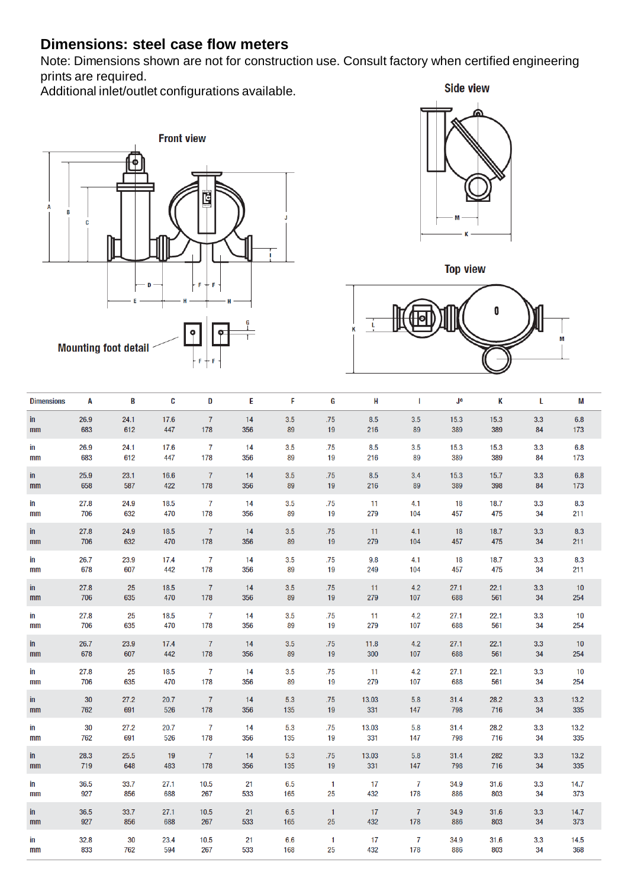# **Dimensions: steel case flow meters**

Note: Dimensions shown are not for construction use. Consult factory when certified engineering prints are required.

Additional inlet/outlet configurations available.









| in<br>26.9<br>24.1<br>17.6<br>$\overline{7}$<br>14<br>3.5<br>.75<br>8.5<br>3.5<br>15.3<br>3.3<br>15.3<br>612<br>447<br>178<br>356<br>89<br>19<br>89<br>389<br>84<br>683<br>216<br>389<br>mm              | 6.8<br>173  |
|----------------------------------------------------------------------------------------------------------------------------------------------------------------------------------------------------------|-------------|
| 26.9<br>24.1<br>17.6<br>7<br>14<br>3.5<br>.75<br>8.5<br>3.5<br>15.3<br>15.3<br>3.3<br>in<br>612<br>447<br>178<br>89<br>19<br>89<br>389<br>389<br>683<br>356<br>216<br>84<br>mm                           | 6.8<br>173  |
| $\overline{7}$<br>25.9<br>in<br>23.1<br>16.6<br>14<br>3.5<br>.75<br>8.5<br>3.4<br>15.3<br>15.7<br>3.3<br>178<br>398<br>658<br>587<br>422<br>356<br>89<br>19<br>216<br>89<br>389<br>84<br>mm              | 6.8<br>173  |
| 27.8<br>7<br>.75<br>in<br>24.9<br>18.5<br>14<br>3.5<br>11<br>4.1<br>18<br>18.7<br>3.3<br>706<br>632<br>470<br>178<br>89<br>279<br>475<br>356<br>19<br>104<br>457<br>34<br>mm                             | 8.3<br>211  |
| $\overline{7}$<br>in<br>27.8<br>24.9<br>18.5<br>14<br>.75<br>11<br>18<br>18.7<br>3.5<br>4.1<br>3.3<br>279<br>706<br>632<br>470<br>178<br>356<br>89<br>19<br>104<br>457<br>475<br>34<br>mm                | 8.3<br>211  |
| 26.7<br>23.9<br>$\overline{7}$<br>.75<br>9.8<br>in<br>17.4<br>14<br>3.5<br>4.1<br>18<br>18.7<br>3.3<br>678<br>607<br>442<br>178<br>356<br>89<br>19<br>249<br>475<br>104<br>457<br>34<br>mm               | 8.3<br>211  |
| $\overline{7}$<br>27.8<br>25<br>18.5<br>14<br>3.5<br>.75<br>11<br>4.2<br>27.1<br>22.1<br>3.3<br>in<br>635<br>178<br>279<br>706<br>470<br>356<br>89<br>19<br>107<br>688<br>561<br>34<br>mm                | 10<br>254   |
| $\overline{7}$<br>27.8<br>25<br>18.5<br>3.5<br>.75<br>4.2<br>27.1<br>22.1<br>3.3<br>in<br>14<br>11<br>178<br>706<br>635<br>470<br>356<br>89<br>19<br>279<br>107<br>561<br>34<br>688<br>mm                | 10<br>254   |
| $\overline{7}$<br>26.7<br>23.9<br>17.4<br>3.5<br>.75<br>11.8<br>4.2<br>27.1<br>22.1<br>in<br>14<br>3.3<br>678<br>178<br>607<br>442<br>356<br>89<br>19<br>300<br>107<br>688<br>561<br>34<br>mm            | 10<br>254   |
| 27.8<br>25<br>$\overline{7}$<br>.75<br>18.5<br>3.5<br>11<br>4.2<br>27.1<br>22.1<br>3.3<br>in<br>14<br>635<br>178<br>279<br>706<br>470<br>356<br>89<br>19<br>107<br>688<br>561<br>34<br>mm                | 10<br>254   |
| 30<br>27.2<br>20.7<br>$\overline{7}$<br>5.3<br>.75<br>13.03<br>5.8<br>31.4<br>28.2<br>3.3<br>14<br>in<br>178<br>762<br>691<br>526<br>135<br>19<br>331<br>147<br>716<br>356<br>798<br>34<br>mm            | 13.2<br>335 |
| 30<br>$\overline{7}$<br>27.2<br>20.7<br>14<br>5.3<br>.75<br>13.03<br>5.8<br>31.4<br>28.2<br>3.3<br>in<br>691<br>178<br>19<br>331<br>762<br>526<br>356<br>135<br>147<br>798<br>716<br>34<br>mm            | 13.2<br>335 |
| 28.3<br>25.5<br>19<br>$\overline{7}$<br>.75<br>13.03<br>5.8<br>282<br>in<br>14<br>5.3<br>31.4<br>3.3<br>178<br>719<br>648<br>483<br>356<br>135<br>19<br>331<br>147<br>798<br>716<br>34<br>mm             | 13.2<br>335 |
| 36.5<br>33.7<br>27.1<br>10.5<br>21<br>6.5<br>$\mathbf{1}$<br>17<br>7<br>34.9<br>31.6<br>3.3<br>in<br>927<br>856<br>688<br>267<br>533<br>25<br>432<br>178<br>803<br>165<br>886<br>34<br>mm                | 14.7<br>373 |
| 33.7<br>36.5<br>27.1<br>10.5<br>21<br>6.5<br>$\overline{7}$<br>34.9<br>31.6<br>3.3<br>in<br>$\overline{1}$<br>17<br>267<br>178<br>927<br>856<br>688<br>533<br>165<br>25<br>432<br>886<br>803<br>34<br>mm | 14.7<br>373 |
| 32.8<br>30<br>21<br>7<br>23.4<br>10.5<br>6.6<br>$\mathbf{1}$<br>17<br>34.9<br>31.6<br>3.3<br>in<br>833<br>594<br>267<br>25<br>432<br>803<br>762<br>533<br>168<br>178<br>886<br>34<br>mm                  | 14.5<br>368 |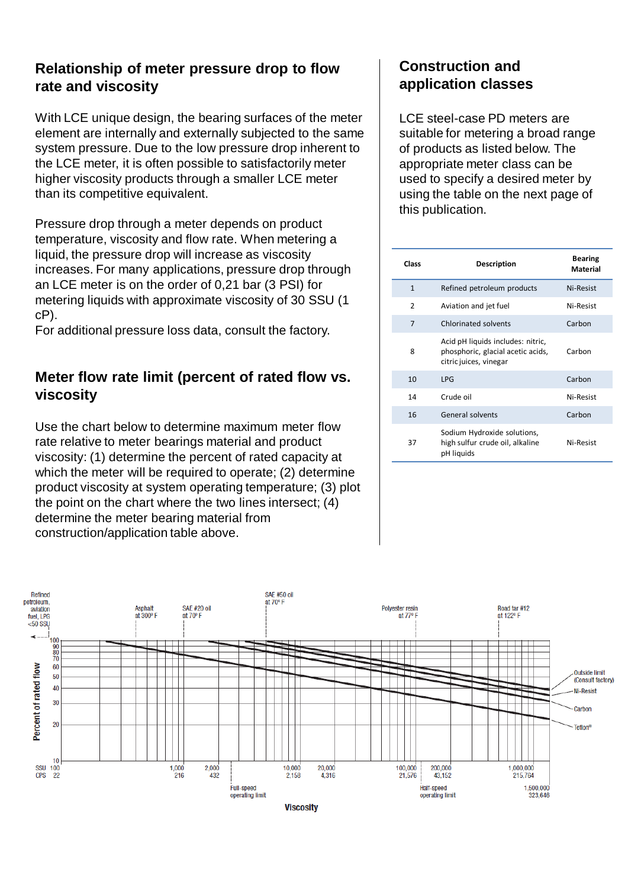#### **Relationship of meter pressure drop to flow rate and viscosity**

With LCE unique design, the bearing surfaces of the meter element are internally and externally subjected to the same system pressure. Due to the low pressure drop inherent to the LCE meter, it is often possible to satisfactorily meter higher viscosity products through a smaller LCE meter than its competitive equivalent.

Pressure drop through a meter depends on product temperature, viscosity and flow rate. When metering a liquid, the pressure drop will increase as viscosity increases. For many applications, pressure drop through an LCE meter is on the order of 0,21 bar (3 PSI) for metering liquids with approximate viscosity of 30 SSU (1 cP).

For additional pressure loss data, consult the factory.

## **Meter flow rate limit (percent of rated flow vs. viscosity**

Use the chart below to determine maximum meter flow rate relative to meter bearings material and product viscosity: (1) determine the percent of rated capacity at which the meter will be required to operate; (2) determine product viscosity at system operating temperature; (3) plot the point on the chart where the two lines intersect; (4) determine the meter bearing material from construction/application table above.

## **Construction and application classes**

LCE steel-case PD meters are suitable for metering a broad range of products as listed below. The appropriate meter class can be used to specify a desired meter by using the table on the next page of this publication.

| Class        | <b>Description</b>                                                                               | Bearing<br><b>Material</b> |  |
|--------------|--------------------------------------------------------------------------------------------------|----------------------------|--|
| $\mathbf{1}$ | Refined petroleum products                                                                       | Ni-Resist                  |  |
| 2            | Aviation and jet fuel                                                                            | Ni-Resist                  |  |
| 7            | <b>Chlorinated solvents</b>                                                                      | Carbon                     |  |
| 8            | Acid pH liquids includes: nitric,<br>phosphoric, glacial acetic acids,<br>citric juices, vinegar | Carbon                     |  |
| 10           | <b>LPG</b>                                                                                       | Carbon                     |  |
| 14           | Crude oil                                                                                        | Ni-Resist                  |  |
| 16           | General solvents                                                                                 | Carbon                     |  |
| 37           | Sodium Hydroxide solutions,<br>high sulfur crude oil, alkaline<br>pH liquids                     | Ni-Resist                  |  |